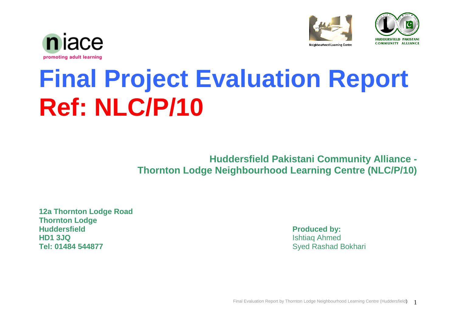





# **Final Project Evaluation Report Ref: NLC/P/10**

**Huddersfield Pakistani Community Alliance - Thornton Lodge Neighbourhood Learning Centre (NLC/P/10)**

**12a Thornton Lodge Road Thornton Lodge Huddersfield Produced by: HD1 3JQ** Ishtiaq Ahmed **Tel: 01484 544877** Syed Rashad Bokhari

Final Evaluation Report by Thornton Lodge Neighbourhood Learning Centre (Huddersfield) 1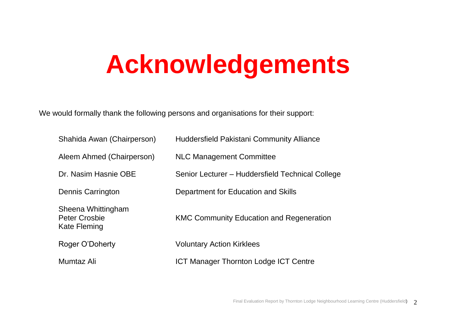# **Acknowledgements**

We would formally thank the following persons and organisations for their support:

| Shahida Awan (Chairperson)                                 | <b>Huddersfield Pakistani Community Alliance</b> |
|------------------------------------------------------------|--------------------------------------------------|
| Aleem Ahmed (Chairperson)                                  | <b>NLC Management Committee</b>                  |
| Dr. Nasim Hasnie OBE                                       | Senior Lecturer - Huddersfield Technical College |
| Dennis Carrington                                          | Department for Education and Skills              |
| Sheena Whittingham<br><b>Peter Crosbie</b><br>Kate Fleming | <b>KMC Community Education and Regeneration</b>  |
| Roger O'Doherty                                            | <b>Voluntary Action Kirklees</b>                 |
| Mumtaz Ali                                                 | <b>ICT Manager Thornton Lodge ICT Centre</b>     |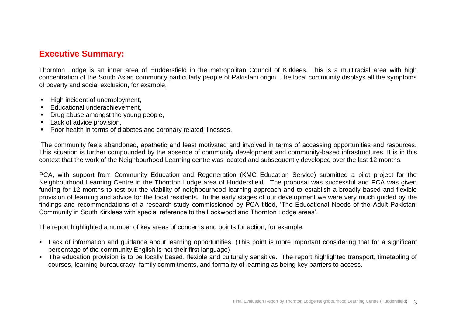#### **Executive Summary:**

Thornton Lodge is an inner area of Huddersfield in the metropolitan Council of Kirklees. This is a multiracial area with high concentration of the South Asian community particularly people of Pakistani origin. The local community displays all the symptoms of poverty and social exclusion, for example,

- High incident of unemployment,
- **Educational underachievement,**
- Drug abuse amongst the young people,
- **Lack of advice provision.**
- **Poor health in terms of diabetes and coronary related illnesses.**

The community feels abandoned, apathetic and least motivated and involved in terms of accessing opportunities and resources. This situation is further compounded by the absence of community development and community-based infrastructures. It is in this context that the work of the Neighbourhood Learning centre was located and subsequently developed over the last 12 months.

PCA, with support from Community Education and Regeneration (KMC Education Service) submitted a pilot project for the Neighbourhood Learning Centre in the Thornton Lodge area of Huddersfield. The proposal was successful and PCA was given funding for 12 months to test out the viability of neighbourhood learning approach and to establish a broadly based and flexible provision of learning and advice for the local residents. In the early stages of our development we were very much guided by the findings and recommendations of a research-study commissioned by PCA titled, "The Educational Needs of the Adult Pakistani Community in South Kirklees with special reference to the Lockwood and Thornton Lodge areas".

The report highlighted a number of key areas of concerns and points for action, for example,

- Lack of information and guidance about learning opportunities. (This point is more important considering that for a significant percentage of the community English is not their first language)
- The education provision is to be locally based, flexible and culturally sensitive. The report highlighted transport, timetabling of courses, learning bureaucracy, family commitments, and formality of learning as being key barriers to access.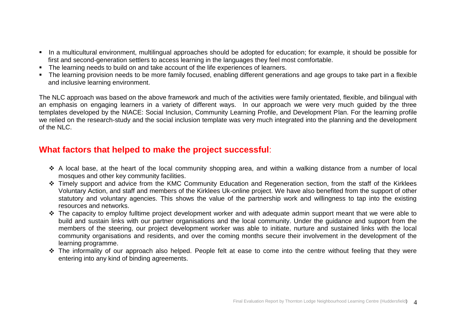- In a multicultural environment, multilingual approaches should be adopted for education; for example, it should be possible for first and second-generation settlers to access learning in the languages they feel most comfortable.
- The learning needs to build on and take account of the life experiences of learners.
- The learning provision needs to be more family focused, enabling different generations and age groups to take part in a flexible and inclusive learning environment.

The NLC approach was based on the above framework and much of the activities were family orientated, flexible, and bilingual with an emphasis on engaging learners in a variety of different ways. In our approach we were very much guided by the three templates developed by the NIACE: Social Inclusion, Community Learning Profile, and Development Plan. For the learning profile we relied on the research-study and the social inclusion template was very much integrated into the planning and the development of the NLC.

### **What factors that helped to make the project successful**:

- A local base, at the heart of the local community shopping area, and within a walking distance from a number of local mosques and other key community facilities.
- \* Timely support and advice from the KMC Community Education and Regeneration section, from the staff of the Kirklees Voluntary Action, and staff and members of the Kirklees Uk-online project. We have also benefited from the support of other statutory and voluntary agencies. This shows the value of the partnership work and willingness to tap into the existing resources and networks.
- $\cdot$  The capacity to employ fulltime project development worker and with adequate admin support meant that we were able to build and sustain links with our partner organisations and the local community. Under the guidance and support from the members of the steering, our project development worker was able to initiate, nurture and sustained links with the local community organisations and residents, and over the coming months secure their involvement in the development of the learning programme.
- \* The informality of our approach also helped. People felt at ease to come into the centre without feeling that they were entering into any kind of binding agreements.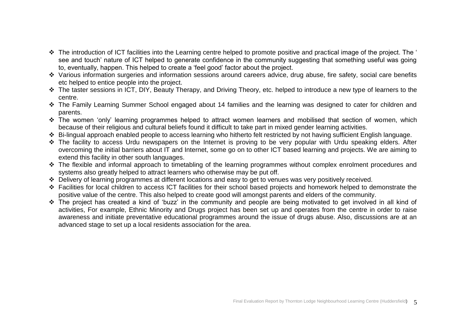- The introduction of ICT facilities into the Learning centre helped to promote positive and practical image of the project. The " see and touch' nature of ICT helped to generate confidence in the community suggesting that something useful was going to, eventually, happen. This helped to create a "feel good" factor about the project.
- Various information surgeries and information sessions around careers advice, drug abuse, fire safety, social care benefits etc helped to entice people into the project.
- The taster sessions in ICT, DIY, Beauty Therapy, and Driving Theory, etc. helped to introduce a new type of learners to the centre.
- \* The Family Learning Summer School engaged about 14 families and the learning was designed to cater for children and parents.
- \* The women 'only' learning programmes helped to attract women learners and mobilised that section of women, which because of their religious and cultural beliefs found it difficult to take part in mixed gender learning activities.
- Bi-lingual approach enabled people to access learning who hitherto felt restricted by not having sufficient English language.
- \* The facility to access Urdu newspapers on the Internet is proving to be very popular with Urdu speaking elders. After overcoming the initial barriers about IT and Internet, some go on to other ICT based learning and projects. We are aiming to extend this facility in other south languages.
- The flexible and informal approach to timetabling of the learning programmes without complex enrolment procedures and systems also greatly helped to attract learners who otherwise may be put off.
- Delivery of learning programmes at different locations and easy to get to venues was very positively received.
- Facilities for local children to access ICT facilities for their school based projects and homework helped to demonstrate the positive value of the centre. This also helped to create good will amongst parents and elders of the community.
- The project has created a kind of "buzz" in the community and people are being motivated to get involved in all kind of activities, For example, Ethnic Minority and Drugs project has been set up and operates from the centre in order to raise awareness and initiate preventative educational programmes around the issue of drugs abuse. Also, discussions are at an advanced stage to set up a local residents association for the area.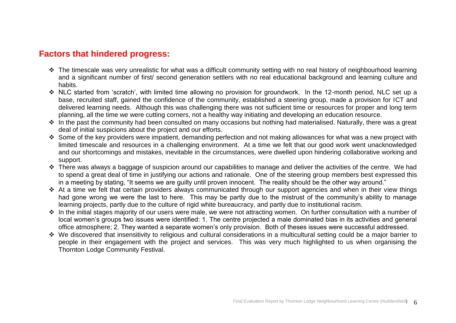### **Factors that hindered progress:**

- The timescale was very unrealistic for what was a difficult community setting with no real history of neighbourhood learning and a significant number of first/ second generation settlers with no real educational background and learning culture and habits.
- NLC started from "scratch", with limited time allowing no provision for groundwork. In the 12-month period, NLC set up a base, recruited staff, gained the confidence of the community, established a steering group, made a provision for ICT and delivered learning needs. Although this was challenging there was not sufficient time or resources for proper and long term planning, all the time we were cutting corners, not a healthy way initiating and developing an education resource.
- In the past the community had been consulted on many occasions but nothing had materialised. Naturally, there was a great deal of initial suspicions about the project and our efforts.
- Some of the key providers were impatient, demanding perfection and not making allowances for what was a new project with limited timescale and resources in a challenging environment. At a time we felt that our good work went unacknowledged and our shortcomings and mistakes, inevitable in the circumstances, were dwelled upon hindering collaborative working and support.
- There was always a baggage of suspicion around our capabilities to manage and deliver the activities of the centre. We had to spend a great deal of time in justifying our actions and rationale. One of the steering group members best expressed this in a meeting by stating, "It seems we are guilty until proven innocent. The reality should be the other way around."
- At a time we felt that certain providers always communicated through our support agencies and when in their view things had gone wrong we were the last to here. This may be partly due to the mistrust of the community's ability to manage learning projects, partly due to the culture of rigid white bureaucracy, and partly due to institutional racism.
- In the initial stages majority of our users were male, we were not attracting women. On further consultation with a number of local women's groups two issues were identified: 1. The centre projected a male dominated bias in its activities and general office atmosphere; 2. They wanted a separate women"s only provision. Both of theses issues were successful addressed.
- We discovered that insensitivity to religious and cultural considerations in a multicultural setting could be a major barrier to people in their engagement with the project and services. This was very much highlighted to us when organising the Thornton Lodge Community Festival.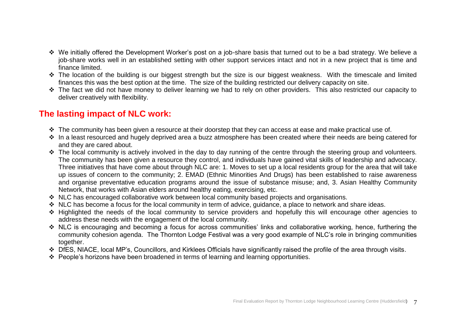- We initially offered the Development Worker"s post on a job-share basis that turned out to be a bad strategy. We believe a job-share works well in an established setting with other support services intact and not in a new project that is time and finance limited.
- The location of the building is our biggest strength but the size is our biggest weakness. With the timescale and limited finances this was the best option at the time. The size of the building restricted our delivery capacity on site.
- The fact we did not have money to deliver learning we had to rely on other providers. This also restricted our capacity to deliver creatively with flexibility.

# **The lasting impact of NLC work:**

- The community has been given a resource at their doorstep that they can access at ease and make practical use of.
- In a least resourced and hugely deprived area a buzz atmosphere has been created where their needs are being catered for and they are cared about.
- The local community is actively involved in the day to day running of the centre through the steering group and volunteers. The community has been given a resource they control, and individuals have gained vital skills of leadership and advocacy. Three initiatives that have come about through NLC are: 1. Moves to set up a local residents group for the area that will take up issues of concern to the community; 2. EMAD (Ethnic Minorities And Drugs) has been established to raise awareness and organise preventative education programs around the issue of substance misuse; and, 3. Asian Healthy Community Network, that works with Asian elders around healthy eating, exercising, etc.
- \* NLC has encouraged collaborative work between local community based projects and organisations.
- \* NLC has become a focus for the local community in term of advice, quidance, a place to network and share ideas.
- Highlighted the needs of the local community to service providers and hopefully this will encourage other agencies to address these needs with the engagement of the local community.
- ◆ NLC is encouraging and becoming a focus for across communities' links and collaborative working, hence, furthering the community cohesion agenda. The Thornton Lodge Festival was a very good example of NLC"s role in bringing communities together.
- DfES, NIACE, local MP"s, Councillors, and Kirklees Officials have significantly raised the profile of the area through visits.
- People"s horizons have been broadened in terms of learning and learning opportunities.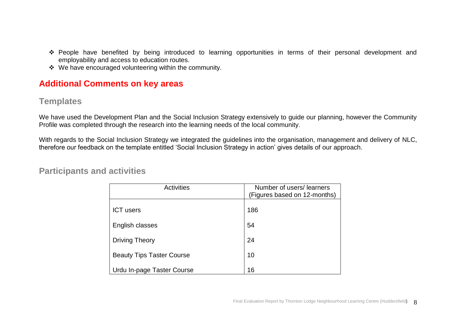- People have benefited by being introduced to learning opportunities in terms of their personal development and employability and access to education routes.
- We have encouraged volunteering within the community.

## **Additional Comments on key areas**

# **Templates**

We have used the Development Plan and the Social Inclusion Strategy extensively to guide our planning, however the Community Profile was completed through the research into the learning needs of the local community.

With regards to the Social Inclusion Strategy we integrated the guidelines into the organisation, management and delivery of NLC, therefore our feedback on the template entitled "Social Inclusion Strategy in action" gives details of our approach.

#### **Participants and activities**

| <b>Activities</b>                | Number of users/learners<br>(Figures based on 12-months) |
|----------------------------------|----------------------------------------------------------|
| <b>ICT</b> users                 | 186                                                      |
| English classes                  | 54                                                       |
| <b>Driving Theory</b>            | 24                                                       |
| <b>Beauty Tips Taster Course</b> | 10                                                       |
| Urdu In-page Taster Course       | 16                                                       |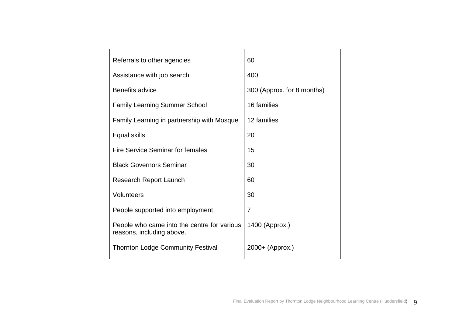| Referrals to other agencies                                              | 60                         |
|--------------------------------------------------------------------------|----------------------------|
| Assistance with job search                                               | 400                        |
| <b>Benefits advice</b>                                                   | 300 (Approx. for 8 months) |
| <b>Family Learning Summer School</b>                                     | 16 families                |
| Family Learning in partnership with Mosque                               | 12 families                |
| Equal skills                                                             | 20                         |
| Fire Service Seminar for females                                         | 15                         |
| <b>Black Governors Seminar</b>                                           | 30                         |
| <b>Research Report Launch</b>                                            | 60                         |
| Volunteers                                                               | 30                         |
| People supported into employment                                         | $\overline{7}$             |
| People who came into the centre for various<br>reasons, including above. | 1400 (Approx.)             |
| <b>Thornton Lodge Community Festival</b>                                 | 2000+ (Approx.)            |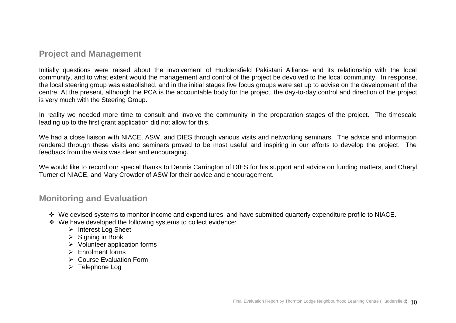#### **Project and Management**

Initially questions were raised about the involvement of Huddersfield Pakistani Alliance and its relationship with the local community, and to what extent would the management and control of the project be devolved to the local community. In response, the local steering group was established, and in the initial stages five focus groups were set up to advise on the development of the centre. At the present, although the PCA is the accountable body for the project, the day-to-day control and direction of the project is very much with the Steering Group.

In reality we needed more time to consult and involve the community in the preparation stages of the project. The timescale leading up to the first grant application did not allow for this.

We had a close liaison with NIACE, ASW, and DfES through various visits and networking seminars. The advice and information rendered through these visits and seminars proved to be most useful and inspiring in our efforts to develop the project. The feedback from the visits was clear and encouraging.

We would like to record our special thanks to Dennis Carrington of DfES for his support and advice on funding matters, and Cheryl Turner of NIACE, and Mary Crowder of ASW for their advice and encouragement.

#### **Monitoring and Evaluation**

- \* We devised systems to monitor income and expenditures, and have submitted quarterly expenditure profile to NIACE.
- We have developed the following systems to collect evidence:
	- ▶ Interest Log Sheet
	- $\triangleright$  Signing in Book
	- $\triangleright$  Volunteer application forms
	- $\triangleright$  Enrolment forms
	- **► Course Evaluation Form**
	- $\triangleright$  Telephone Log